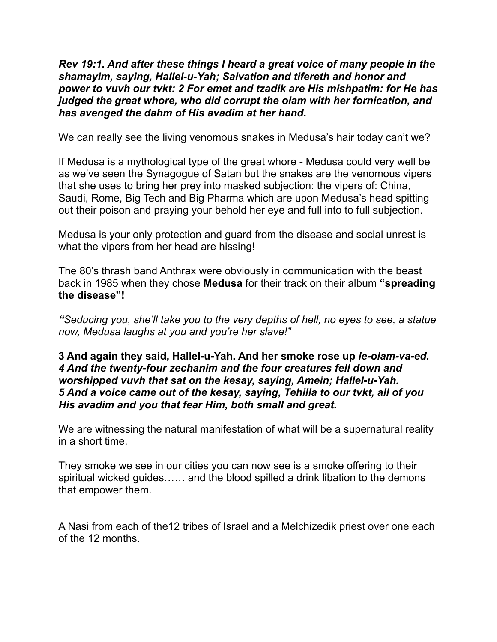*Rev 19:1. And after these things I heard a great voice of many people in the shamayim, saying, Hallel-u-Yah; Salvation and tifereth and honor and power to vuvh our tvkt: 2 For emet and tzadik are His mishpatim: for He has judged the great whore, who did corrupt the olam with her fornication, and has avenged the dahm of His avadim at her hand.* 

We can really see the living venomous snakes in Medusa's hair today can't we?

If Medusa is a mythological type of the great whore - Medusa could very well be as we've seen the Synagogue of Satan but the snakes are the venomous vipers that she uses to bring her prey into masked subjection: the vipers of: China, Saudi, Rome, Big Tech and Big Pharma which are upon Medusa's head spitting out their poison and praying your behold her eye and full into to full subjection.

Medusa is your only protection and guard from the disease and social unrest is what the vipers from her head are hissing!

The 80's thrash band Anthrax were obviously in communication with the beast back in 1985 when they chose **Medusa** for their track on their album **"spreading the disease"!** 

*"Seducing you, she'll take you to the very depths of hell, no eyes to see, a statue now, Medusa laughs at you and you're her slave!"* 

## **3 And again they said, Hallel-u-Yah. And her smoke rose up** *le-olam-va-ed. 4 And the twenty-four zechanim and the four creatures fell down and worshipped vuvh that sat on the kesay, saying, Amein; Hallel-u-Yah. 5 And a voice came out of the kesay, saying, Tehilla to our tvkt, all of you His avadim and you that fear Him, both small and great.*

We are witnessing the natural manifestation of what will be a supernatural reality in a short time.

They smoke we see in our cities you can now see is a smoke offering to their spiritual wicked guides…… and the blood spilled a drink libation to the demons that empower them.

A Nasi from each of the12 tribes of Israel and a Melchizedik priest over one each of the 12 months.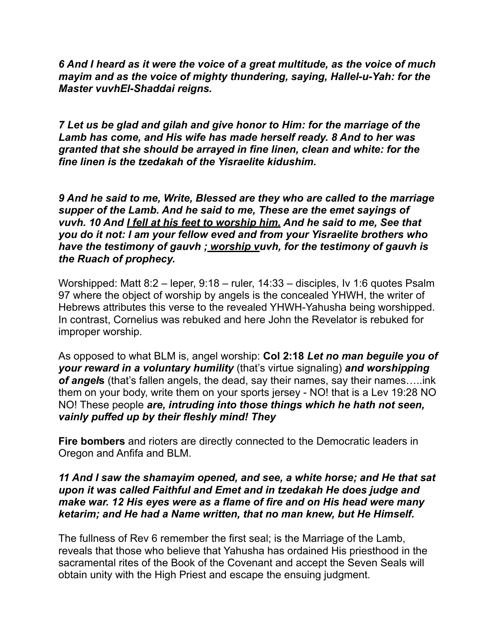*6 And I heard as it were the voice of a great multitude, as the voice of much mayim and as the voice of mighty thundering, saying, Hallel-u-Yah: for the Master vuvhEl-Shaddai reigns.* 

*7 Let us be glad and gilah and give honor to Him: for the marriage of the Lamb has come, and His wife has made herself ready. 8 And to her was granted that she should be arrayed in fine linen, clean and white: for the fine linen is the tzedakah of the Yisraelite kidushim.* 

*9 And he said to me, Write, Blessed are they who are called to the marriage supper of the Lamb. And he said to me, These are the emet sayings of vuvh. 10 And I fell at his feet to worship him. And he said to me, See that you do it not: I am your fellow eved and from your Yisraelite brothers who have the testimony of gauvh ; worship vuvh, for the testimony of gauvh is the Ruach of prophecy.* 

Worshipped: Matt 8:2 – leper, 9:18 – ruler, 14:33 – disciples, Iv 1:6 quotes Psalm 97 where the object of worship by angels is the concealed YHWH, the writer of Hebrews attributes this verse to the revealed YHWH-Yahusha being worshipped. In contrast, Cornelius was rebuked and here John the Revelator is rebuked for improper worship.

As opposed to what BLM is, angel worship: **Col 2:18** *Let no man beguile you of your reward in a voluntary humility* (that's virtue signaling) *and worshipping of angel***s** (that's fallen angels, the dead, say their names, say their names…..ink them on your body, write them on your sports jersey - NO! that is a Lev 19:28 NO NO! These people *are, intruding into those things which he hath not seen, vainly puffed up by their fleshly mind! They* 

**Fire bombers** and rioters are directly connected to the Democratic leaders in Oregon and Anfifa and BLM.

## *11 And I saw the shamayim opened, and see, a white horse; and He that sat upon it was called Faithful and Emet and in tzedakah He does judge and make war. 12 His eyes were as a flame of fire and on His head were many ketarim; and He had a Name written, that no man knew, but He Himself.*

The fullness of Rev 6 remember the first seal; is the Marriage of the Lamb, reveals that those who believe that Yahusha has ordained His priesthood in the sacramental rites of the Book of the Covenant and accept the Seven Seals will obtain unity with the High Priest and escape the ensuing judgment.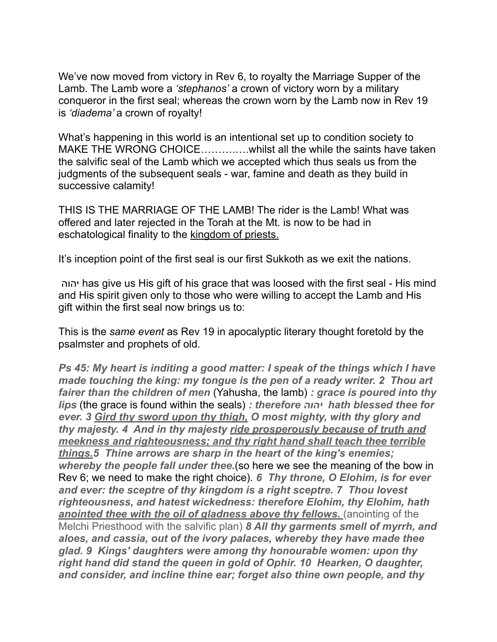We've now moved from victory in Rev 6, to royalty the Marriage Supper of the Lamb. The Lamb wore a *'stephanos'* a crown of victory worn by a military conqueror in the first seal; whereas the crown worn by the Lamb now in Rev 19 is *'diadema'* a crown of royalty!

What's happening in this world is an intentional set up to condition society to MAKE THE WRONG CHOICE……….….whilst all the while the saints have taken the salvific seal of the Lamb which we accepted which thus seals us from the judgments of the subsequent seals - war, famine and death as they build in successive calamity!

THIS IS THE MARRIAGE OF THE LAMB! The rider is the Lamb! What was offered and later rejected in the Torah at the Mt. is now to be had in eschatological finality to the kingdom of priests.

It's inception point of the first seal is our first Sukkoth as we exit the nations.

יהוה has give us His gift of his grace that was loosed with the first seal - His mind and His spirit given only to those who were willing to accept the Lamb and His gift within the first seal now brings us to:

This is the *same event* as Rev 19 in apocalyptic literary thought foretold by the psalmster and prophets of old.

*Ps 45: My heart is inditing a good matter: I speak of the things which I have made touching the king: my tongue is the pen of a ready writer. 2 Thou art fairer than the children of men* (Yahusha, the lamb) *: grace is poured into thy lips* (the grace is found within the seals) *: therefore יהוה hath blessed thee for ever. 3 Gird thy sword upon thy thigh, O most mighty, with thy glory and thy majesty. 4 And in thy majesty ride prosperously because of truth and meekness and righteousness; and thy right hand shall teach thee terrible things.5 Thine arrows are sharp in the heart of the king's enemies; whereby the people fall under thee.*(so here we see the meaning of the bow in Rev 6; we need to make the right choice). *6 Thy throne, O Elohim, is for ever and ever: the sceptre of thy kingdom is a right sceptre. 7 Thou lovest righteousness, and hatest wickedness: therefore Elohim, thy Elohim, hath*  **anointed thee with the oil of gladness above thy fellows.** (anointing of the Melchi Priesthood with the salvific plan) *8 All thy garments smell of myrrh, and aloes, and cassia, out of the ivory palaces, whereby they have made thee glad. 9 Kings' daughters were among thy honourable women: upon thy right hand did stand the queen in gold of Ophir. 10 Hearken, O daughter, and consider, and incline thine ear; forget also thine own people, and thy*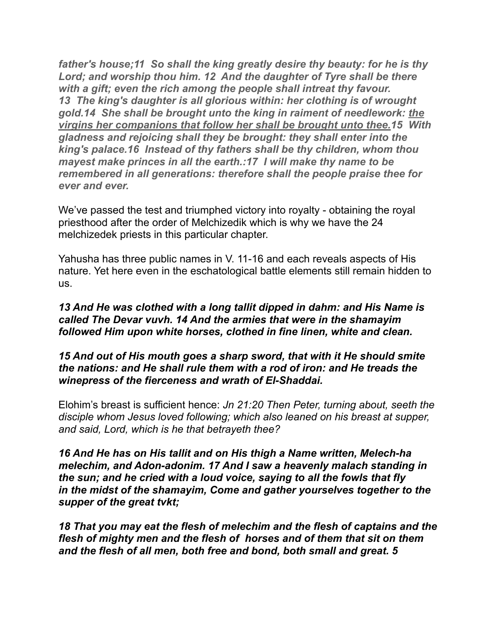*father's house;11 So shall the king greatly desire thy beauty: for he is thy*  Lord; and worship thou him. 12 And the daughter of Tyre shall be there *with a gift; even the rich among the people shall intreat thy favour. 13 The king's daughter is all glorious within: her clothing is of wrought gold.14 She shall be brought unto the king in raiment of needlework: the virgins her companions that follow her shall be brought unto thee.15 With gladness and rejoicing shall they be brought: they shall enter into the king's palace.16 Instead of thy fathers shall be thy children, whom thou mayest make princes in all the earth.:17 I will make thy name to be remembered in all generations: therefore shall the people praise thee for ever and ever.*

We've passed the test and triumphed victory into royalty - obtaining the royal priesthood after the order of Melchizedik which is why we have the 24 melchizedek priests in this particular chapter.

Yahusha has three public names in V. 11-16 and each reveals aspects of His nature. Yet here even in the eschatological battle elements still remain hidden to us.

*13 And He was clothed with a long tallit dipped in dahm: and His Name is called The Devar vuvh. 14 And the armies that were in the shamayim followed Him upon white horses, clothed in fine linen, white and clean.* 

## *15 And out of His mouth goes a sharp sword, that with it He should smite the nations: and He shall rule them with a rod of iron: and He treads the winepress of the fierceness and wrath of El-Shaddai.*

Elohim's breast is sufficient hence: *Jn 21:20 Then Peter, turning about, seeth the disciple whom Jesus loved following; which also leaned on his breast at supper, and said, Lord, which is he that betrayeth thee?*

*16 And He has on His tallit and on His thigh a Name written, Melech-ha melechim, and Adon-adonim. 17 And I saw a heavenly malach standing in the sun; and he cried with a loud voice, saying to all the fowls that fly in the midst of the shamayim, Come and gather yourselves together to the supper of the great tvkt;* 

*18 That you may eat the flesh of melechim and the flesh of captains and the flesh of mighty men and the flesh of horses and of them that sit on them and the flesh of all men, both free and bond, both small and great. 5*